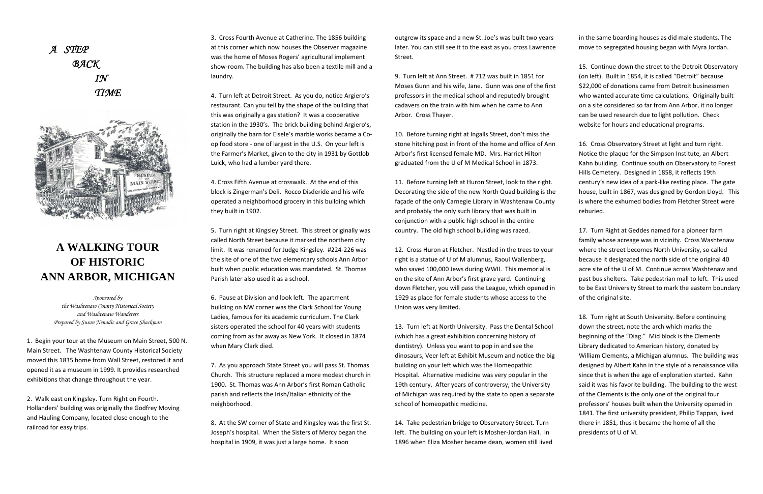



## **A WALKING TOUR OF HISTORIC ANN ARBOR, MICHIGAN**

*Sponsored by the Washtenaw County Historical Society and Washtenaw Wanderers Prepared by Susan Nenadic and Grace Shackman* 

1. Begin your tour at the Museum on Main Street, 500 N. Main Street. The Washtenaw County Historical Society moved this 1835 home from Wall Street, restored it and opened it as <sup>a</sup> museum in 1999. It provides researched exhibitions that change throughout the year.

2. Walk east on Kingsley. Turn Right on Fourth. Hollanders' building was originally the Godfrey Moving and Hauling Company, located close enough to the railroad for easy trips.

3. Cross Fourth Avenue at Catherine. The 1856 building at this corner which now houses the Observer magazine was the home of Moses Rogers' agricultural implement show‐room. The building has also been <sup>a</sup> textile mill and <sup>a</sup> laundry.

4. Turn left at Detroit Street. As you do, notice Argiero's restaurant. Can you tell by the shape of the building that this was originally <sup>a</sup> gas station? It was <sup>a</sup> cooperative station in the 1930's. The brick building behind Argiero's, originally the barn for Eisele's marble works became <sup>a</sup> Co‐ op food store ‐ one of largest in the U.S. On your left is the Farmer's Market, given to the city in 1931 by Gottlob Luick, who had <sup>a</sup> lumber yard there.

4. Cross Fifth Avenue at crosswalk. At the end of this block is Zingerman's Deli. Rocco Disderide and his wife operated <sup>a</sup> neighborhood grocery in this building which they built in 1902.

5. Turn right at Kingsley Street. This street originally was called North Street because it marked the northern city limit. It was renamed for Judge Kingsley. #224‐226 was the site of one of the two elementary schools Ann Arbor built when public education was mandated. St. Thomas Parish later also used it as <sup>a</sup> school.

6. Pause at Division and look left. The apartment building on NW corner was the Clark School for Young Ladies, famous for its academic curriculum. The Clark sisters operated the school for 40 years with students coming from as far away as New York. It closed in 1874 when Mary Clark died.

7. As you approach State Street you will pass St. Thomas Church. This structure replaced <sup>a</sup> more modest church in 1900. St. Thomas was Ann Arbor's first Roman Catholic parish and reflects the Irish/Italian ethnicity of the neighborhood.

8. At the SW corner of State and Kingsley was the first St. Joseph's hospital. When the Sisters of Mercy began the hospital in 1909, it was just <sup>a</sup> large home. It soon

outgrew its space and <sup>a</sup> new St. Joe's was built two years later. You can still see it to the east as you cross Lawrence Street.

9. Turn left at Ann Street. # 712 was built in 1851 for Moses Gunn and his wife, Jane. Gunn was one of the first professors in the medical school and reputedly brought cadavers on the train with him when he came to Ann Arbor. Cross Thayer.

10. Before turning right at Ingalls Street, don't miss the stone hitching post in front of the home and office of Ann Arbor's first licensed female MD. Mrs. Harriet Hilton graduated from the U of M Medical School in 1873.

11. Before turning left at Huron Street, look to the right. Decorating the side of the new North Quad building is the façade of the only Carnegie Library in Washtenaw County and probably the only such library that was built in conjunction with <sup>a</sup> public high school in the entire country. The old high school building was razed.

12. Cross Huron at Fletcher. Nestled in the trees to your right is <sup>a</sup> statue of U of M alumnus, Raoul Wallenberg, who saved 100,000 Jews during WWII. This memorial is on the site of Ann Arbor's first grave yard. Continuing down Fletcher, you will pass the League, which opened in 1929 as place for female students whose access to the Union was very limited.

13. Turn left at North University. Pass the Dental School (which has <sup>a</sup> great exhibition concerning history of dentistry). Unless you want to pop in and see the dinosaurs, Veer left at Exhibit Museum and notice the big building on your left which was the Homeopathic Hospital. Alternative medicine was very popular in the 19th century. After years of controversy, the University of Michigan was required by the state to open <sup>a</sup> separate school of homeopathic medicine.

14. Take pedestrian bridge to Observatory Street. Turn left. The building on your left is Mosher‐Jordan Hall. In 1896 when Eliza Mosher became dean, women still lived in the same boarding houses as did male students. The move to segregated housing began with Myra Jordan.

15. Continue down the street to the Detroit Observatory (on left). Built in 1854, it is called "Detroit" because \$22,000 of donations came from Detroit businessmen who wanted accurate time calculations. Originally built on <sup>a</sup> site considered so far from Ann Arbor, it no longer can be used research due to light pollution. Check website for hours and educational programs.

16. Cross Observatory Street at light and turn right. Notice the plaque for the Simpson Institute, an Albert Kahn building. Continue south on Observatory to Forest Hills Cemetery. Designed in 1858, it reflects 19th century's new idea of <sup>a</sup> park‐like resting place. The gate house, built in 1867, was designed by Gordon Lloyd. This is where the exhumed bodies from Fletcher Street were reburied.

17. Turn Right at Geddes named for <sup>a</sup> pioneer farm family whose acreage was in vicinity. Cross Washtenaw where the street becomes North University, so called because it designated the north side of the original 40 acre site of the U of M. Continue across Washtenaw and past bus shelters. Take pedestrian mall to left. This used to be East University Street to mark the eastern boundary of the original site.

18. Turn right at South University. Before continuing down the street, note the arch which marks the beginning of the "Diag." Mid block is the Clements Library dedicated to American history, donated by William Clements, <sup>a</sup> Michigan alumnus. The building was designed by Albert Kahn in the style of <sup>a</sup> renaissance villa since that is when the age of exploration started. Kahn said it was his favorite building. The building to the west of the Clements is the only one of the original four professors' houses built when the University opened in 1841. The first university president, Philip Tappan, lived there in 1851, thus it became the home of all the presidents of U of M.